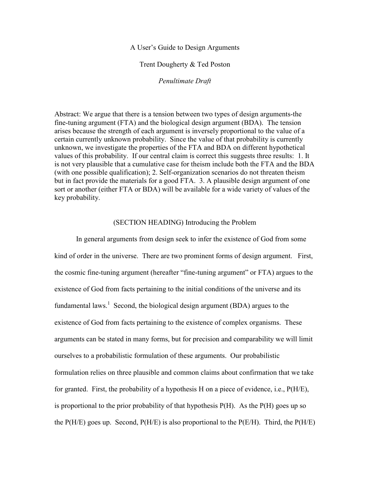A User's Guide to Design Arguments

Trent Dougherty & Ted Poston

Penultimate Draft

Abstract: We argue that there is a tension between two types of design arguments-the fine-tuning argument (FTA) and the biological design argument (BDA). The tension arises because the strength of each argument is inversely proportional to the value of a certain currently unknown probability. Since the value of that probability is currently unknown, we investigate the properties of the FTA and BDA on different hypothetical values of this probability. If our central claim is correct this suggests three results: 1. It is not very plausible that a cumulative case for theism include both the FTA and the BDA (with one possible qualification); 2. Self-organization scenarios do not threaten theism but in fact provide the materials for a good FTA. 3. A plausible design argument of one sort or another (either FTA or BDA) will be available for a wide variety of values of the key probability.

# (SECTION HEADING) Introducing the Problem

In general arguments from design seek to infer the existence of God from some kind of order in the universe. There are two prominent forms of design argument. First, the cosmic fine-tuning argument (hereafter "fine-tuning argument" or FTA) argues to the existence of God from facts pertaining to the initial conditions of the universe and its fundamental laws.<sup>1</sup> Second, the biological design argument (BDA) argues to the existence of God from facts pertaining to the existence of complex organisms. These arguments can be stated in many forms, but for precision and comparability we will limit ourselves to a probabilistic formulation of these arguments. Our probabilistic formulation relies on three plausible and common claims about confirmation that we take for granted. First, the probability of a hypothesis H on a piece of evidence, i.e., P(H/E), is proportional to the prior probability of that hypothesis  $P(H)$ . As the  $P(H)$  goes up so the  $P(H/E)$  goes up. Second,  $P(H/E)$  is also proportional to the  $P(E/H)$ . Third, the  $P(H/E)$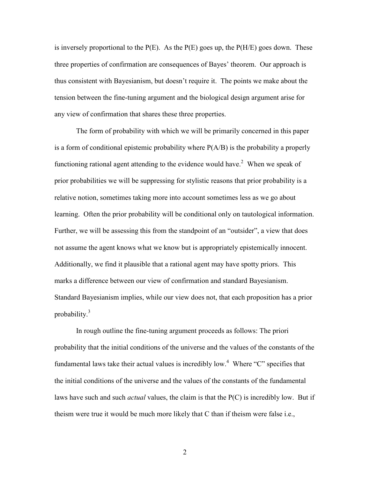is inversely proportional to the  $P(E)$ . As the  $P(E)$  goes up, the  $P(H/E)$  goes down. These three properties of confirmation are consequences of Bayes' theorem. Our approach is thus consistent with Bayesianism, but doesn't require it. The points we make about the tension between the fine-tuning argument and the biological design argument arise for any view of confirmation that shares these three properties.

The form of probability with which we will be primarily concerned in this paper is a form of conditional epistemic probability where  $P(A/B)$  is the probability a properly functioning rational agent attending to the evidence would have.<sup>2</sup> When we speak of prior probabilities we will be suppressing for stylistic reasons that prior probability is a relative notion, sometimes taking more into account sometimes less as we go about learning. Often the prior probability will be conditional only on tautological information. Further, we will be assessing this from the standpoint of an "outsider", a view that does not assume the agent knows what we know but is appropriately epistemically innocent. Additionally, we find it plausible that a rational agent may have spotty priors. This marks a difference between our view of confirmation and standard Bayesianism. Standard Bayesianism implies, while our view does not, that each proposition has a prior probability.<sup>3</sup>

In rough outline the fine-tuning argument proceeds as follows: The priori probability that the initial conditions of the universe and the values of the constants of the fundamental laws take their actual values is incredibly low.<sup>4</sup> Where "C" specifies that the initial conditions of the universe and the values of the constants of the fundamental laws have such and such *actual* values, the claim is that the P(C) is incredibly low. But if theism were true it would be much more likely that C than if theism were false i.e.,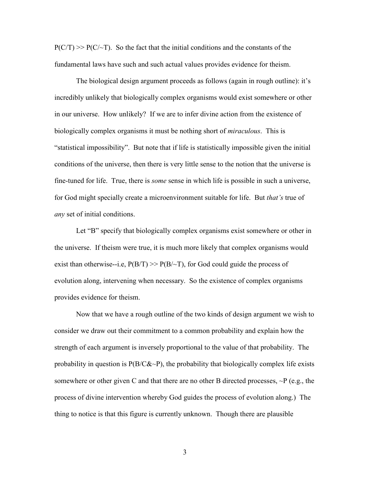$P(C/T) \gg P(C/\sim T)$ . So the fact that the initial conditions and the constants of the fundamental laws have such and such actual values provides evidence for theism.

The biological design argument proceeds as follows (again in rough outline): it's incredibly unlikely that biologically complex organisms would exist somewhere or other in our universe. How unlikely? If we are to infer divine action from the existence of biologically complex organisms it must be nothing short of *miraculous*. This is "statistical impossibility". But note that if life is statistically impossible given the initial conditions of the universe, then there is very little sense to the notion that the universe is fine-tuned for life. True, there is some sense in which life is possible in such a universe, for God might specially create a microenvironment suitable for life. But *that's* true of any set of initial conditions.

Let "B" specify that biologically complex organisms exist somewhere or other in the universe. If theism were true, it is much more likely that complex organisms would exist than otherwise--i.e,  $P(B/T) \gg P(B/\sim T)$ , for God could guide the process of evolution along, intervening when necessary. So the existence of complex organisms provides evidence for theism.

Now that we have a rough outline of the two kinds of design argument we wish to consider we draw out their commitment to a common probability and explain how the strength of each argument is inversely proportional to the value of that probability. The probability in question is  $P(B/C&P)$ , the probability that biologically complex life exists somewhere or other given C and that there are no other B directed processes,  $\sim P$  (e.g., the process of divine intervention whereby God guides the process of evolution along.) The thing to notice is that this figure is currently unknown. Though there are plausible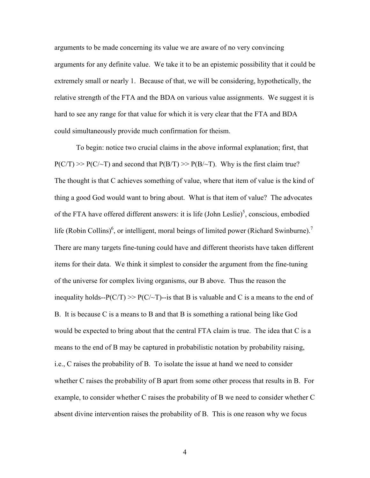arguments to be made concerning its value we are aware of no very convincing arguments for any definite value. We take it to be an epistemic possibility that it could be extremely small or nearly 1. Because of that, we will be considering, hypothetically, the relative strength of the FTA and the BDA on various value assignments. We suggest it is hard to see any range for that value for which it is very clear that the FTA and BDA could simultaneously provide much confirmation for theism.

To begin: notice two crucial claims in the above informal explanation; first, that  $P(C/T) \gg P(C/\sim T)$  and second that  $P(B/T) \gg P(B/\sim T)$ . Why is the first claim true? The thought is that C achieves something of value, where that item of value is the kind of thing a good God would want to bring about. What is that item of value? The advocates of the FTA have offered different answers: it is life (John Leslie) $<sup>5</sup>$ , conscious, embodied</sup> life (Robin Collins)<sup>6</sup>, or intelligent, moral beings of limited power (Richard Swinburne).<sup>7</sup> There are many targets fine-tuning could have and different theorists have taken different items for their data. We think it simplest to consider the argument from the fine-tuning of the universe for complex living organisms, our B above. Thus the reason the inequality holds--P( $C/T$ ) >> P( $C/\sim T$ )--is that B is valuable and C is a means to the end of B. It is because C is a means to B and that B is something a rational being like God would be expected to bring about that the central FTA claim is true. The idea that C is a means to the end of B may be captured in probabilistic notation by probability raising, i.e., C raises the probability of B. To isolate the issue at hand we need to consider whether C raises the probability of B apart from some other process that results in B. For example, to consider whether C raises the probability of B we need to consider whether C absent divine intervention raises the probability of B. This is one reason why we focus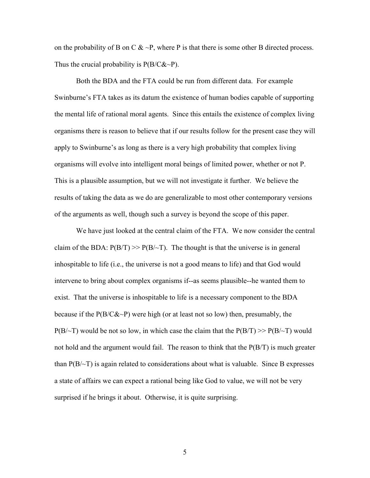on the probability of B on C  $\& \sim P$ , where P is that there is some other B directed process. Thus the crucial probability is  $P(B/C&{\sim}P)$ .

Both the BDA and the FTA could be run from different data. For example Swinburne's FTA takes as its datum the existence of human bodies capable of supporting the mental life of rational moral agents. Since this entails the existence of complex living organisms there is reason to believe that if our results follow for the present case they will apply to Swinburne's as long as there is a very high probability that complex living organisms will evolve into intelligent moral beings of limited power, whether or not P. This is a plausible assumption, but we will not investigate it further. We believe the results of taking the data as we do are generalizable to most other contemporary versions of the arguments as well, though such a survey is beyond the scope of this paper.

We have just looked at the central claim of the FTA. We now consider the central claim of the BDA:  $P(B/T) \gg P(B/\sim T)$ . The thought is that the universe is in general inhospitable to life (i.e., the universe is not a good means to life) and that God would intervene to bring about complex organisms if--as seems plausible--he wanted them to exist. That the universe is inhospitable to life is a necessary component to the BDA because if the  $P(B/C&{\sim}P)$  were high (or at least not so low) then, presumably, the  $P(B/\sim T)$  would be not so low, in which case the claim that the  $P(B/T) \gg P(B/\sim T)$  would not hold and the argument would fail. The reason to think that the P(B/T) is much greater than  $P(B/\sim T)$  is again related to considerations about what is valuable. Since B expresses a state of affairs we can expect a rational being like God to value, we will not be very surprised if he brings it about. Otherwise, it is quite surprising.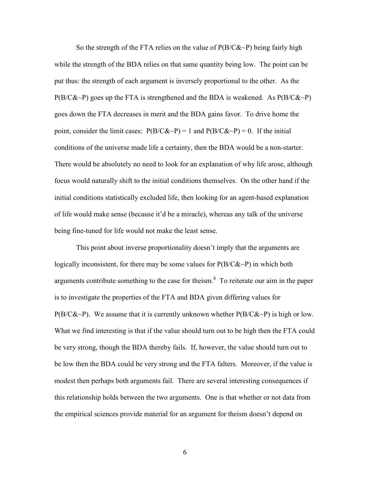So the strength of the FTA relies on the value of  $P(B/C&\!\!\!\!\sim\!\!P)$  being fairly high while the strength of the BDA relies on that same quantity being low. The point can be put thus: the strength of each argument is inversely proportional to the other. As the  $P(B/C&\sim P)$  goes up the FTA is strengthened and the BDA is weakened. As  $P(B/C&\sim P)$ goes down the FTA decreases in merit and the BDA gains favor. To drive home the point, consider the limit cases:  $P(B/C&[]P] = 1$  and  $P(B/C&[]P] = 0$ . If the initial conditions of the universe made life a certainty, then the BDA would be a non-starter. There would be absolutely no need to look for an explanation of why life arose, although focus would naturally shift to the initial conditions themselves. On the other hand if the initial conditions statistically excluded life, then looking for an agent-based explanation of life would make sense (because it'd be a miracle), whereas any talk of the universe being fine-tuned for life would not make the least sense.

This point about inverse proportionality doesn't imply that the arguments are logically inconsistent, for there may be some values for  $P(B/C&N$  in which both arguments contribute something to the case for theism. $8\degree$  To reiterate our aim in the paper is to investigate the properties of the FTA and BDA given differing values for  $P(B/C&\sim P)$ . We assume that it is currently unknown whether  $P(B/C&\sim P)$  is high or low. What we find interesting is that if the value should turn out to be high then the FTA could be very strong, though the BDA thereby fails. If, however, the value should turn out to be low then the BDA could be very strong and the FTA falters. Moreover, if the value is modest then perhaps both arguments fail. There are several interesting consequences if this relationship holds between the two arguments. One is that whether or not data from the empirical sciences provide material for an argument for theism doesn't depend on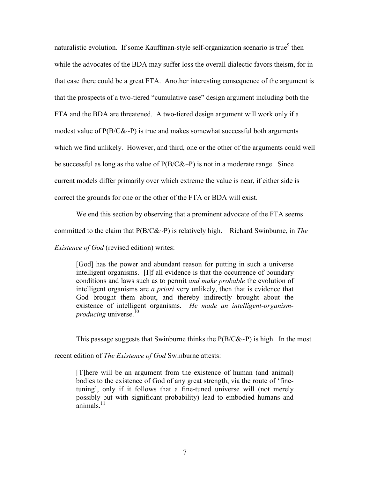naturalistic evolution. If some Kauffman-style self-organization scenario is true<sup>9</sup> then while the advocates of the BDA may suffer loss the overall dialectic favors theism, for in that case there could be a great FTA. Another interesting consequence of the argument is that the prospects of a two-tiered "cumulative case" design argument including both the FTA and the BDA are threatened. A two-tiered design argument will work only if a modest value of  $P(B/C&N$  is true and makes somewhat successful both arguments which we find unlikely. However, and third, one or the other of the arguments could well be successful as long as the value of  $P(B/C&{\sim}P)$  is not in a moderate range. Since current models differ primarily over which extreme the value is near, if either side is correct the grounds for one or the other of the FTA or BDA will exist.

 We end this section by observing that a prominent advocate of the FTA seems committed to the claim that  $P(B/C&P)$  is relatively high. Richard Swinburne, in The **Existence of God (revised edition) writes:** 

[God] has the power and abundant reason for putting in such a universe intelligent organisms. [I]f all evidence is that the occurrence of boundary conditions and laws such as to permit and make probable the evolution of intelligent organisms are a priori very unlikely, then that is evidence that God brought them about, and thereby indirectly brought about the existence of intelligent organisms. He made an intelligent-organism*producing* universe.<sup>10</sup>

This passage suggests that Swinburne thinks the  $P(B/C&~P)$  is high. In the most

recent edition of The Existence of God Swinburne attests:

[T]here will be an argument from the existence of human (and animal) bodies to the existence of God of any great strength, via the route of 'finetuning', only if it follows that a fine-tuned universe will (not merely possibly but with significant probability) lead to embodied humans and  $\frac{1}{2}$ animals.<sup>11</sup>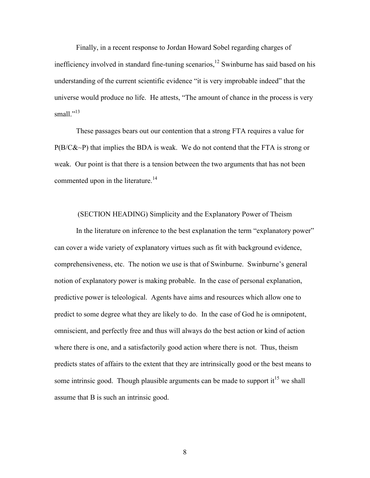Finally, in a recent response to Jordan Howard Sobel regarding charges of inefficiency involved in standard fine-tuning scenarios,<sup>12</sup> Swinburne has said based on his understanding of the current scientific evidence "it is very improbable indeed" that the universe would produce no life. He attests, "The amount of chance in the process is very small." $^{13}$ 

 These passages bears out our contention that a strong FTA requires a value for  $P(B/C&~P)$  that implies the BDA is weak. We do not contend that the FTA is strong or weak. Our point is that there is a tension between the two arguments that has not been commented upon in the literature.<sup>14</sup>

## (SECTION HEADING) Simplicity and the Explanatory Power of Theism

In the literature on inference to the best explanation the term "explanatory power" can cover a wide variety of explanatory virtues such as fit with background evidence, comprehensiveness, etc. The notion we use is that of Swinburne. Swinburne's general notion of explanatory power is making probable. In the case of personal explanation, predictive power is teleological. Agents have aims and resources which allow one to predict to some degree what they are likely to do. In the case of God he is omnipotent, omniscient, and perfectly free and thus will always do the best action or kind of action where there is one, and a satisfactorily good action where there is not. Thus, theism predicts states of affairs to the extent that they are intrinsically good or the best means to some intrinsic good. Though plausible arguments can be made to support it<sup>15</sup> we shall assume that B is such an intrinsic good.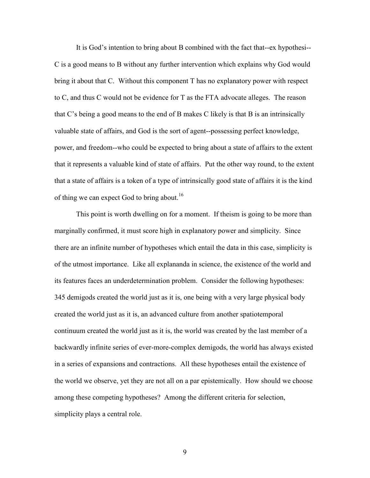It is God's intention to bring about B combined with the fact that--ex hypothesi-- C is a good means to B without any further intervention which explains why God would bring it about that C. Without this component T has no explanatory power with respect to C, and thus C would not be evidence for T as the FTA advocate alleges. The reason that C's being a good means to the end of B makes C likely is that B is an intrinsically valuable state of affairs, and God is the sort of agent--possessing perfect knowledge, power, and freedom--who could be expected to bring about a state of affairs to the extent that it represents a valuable kind of state of affairs. Put the other way round, to the extent that a state of affairs is a token of a type of intrinsically good state of affairs it is the kind of thing we can expect God to bring about.<sup>16</sup>

 This point is worth dwelling on for a moment. If theism is going to be more than marginally confirmed, it must score high in explanatory power and simplicity. Since there are an infinite number of hypotheses which entail the data in this case, simplicity is of the utmost importance. Like all explananda in science, the existence of the world and its features faces an underdetermination problem. Consider the following hypotheses: 345 demigods created the world just as it is, one being with a very large physical body created the world just as it is, an advanced culture from another spatiotemporal continuum created the world just as it is, the world was created by the last member of a backwardly infinite series of ever-more-complex demigods, the world has always existed in a series of expansions and contractions. All these hypotheses entail the existence of the world we observe, yet they are not all on a par epistemically. How should we choose among these competing hypotheses? Among the different criteria for selection, simplicity plays a central role.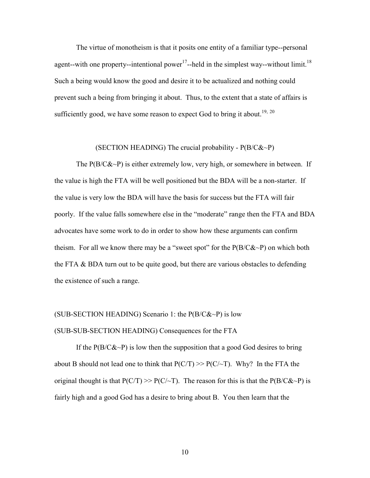The virtue of monotheism is that it posits one entity of a familiar type--personal agent--with one property--intentional power<sup>17</sup>--held in the simplest way--without limit.<sup>18</sup> Such a being would know the good and desire it to be actualized and nothing could prevent such a being from bringing it about. Thus, to the extent that a state of affairs is sufficiently good, we have some reason to expect God to bring it about.<sup>19, 20</sup>

# (SECTION HEADING) The crucial probability -  $P(B/C&~P)$

The P(B/C&~P) is either extremely low, very high, or somewhere in between. If the value is high the FTA will be well positioned but the BDA will be a non-starter. If the value is very low the BDA will have the basis for success but the FTA will fair poorly. If the value falls somewhere else in the "moderate" range then the FTA and BDA advocates have some work to do in order to show how these arguments can confirm theism. For all we know there may be a "sweet spot" for the  $P(B/C&~P)$  on which both the FTA & BDA turn out to be quite good, but there are various obstacles to defending the existence of such a range.

# (SUB-SECTION HEADING) Scenario 1: the  $P(B/C&~P)$  is low (SUB-SUB-SECTION HEADING) Consequences for the FTA

If the  $P(B/C&~P)$  is low then the supposition that a good God desires to bring about B should not lead one to think that  $P(C/T) \gg P(C/\sim T)$ . Why? In the FTA the original thought is that  $P(C/T) \gg P(C/\sim T)$ . The reason for this is that the  $P(B/C&N\sim P)$  is fairly high and a good God has a desire to bring about B. You then learn that the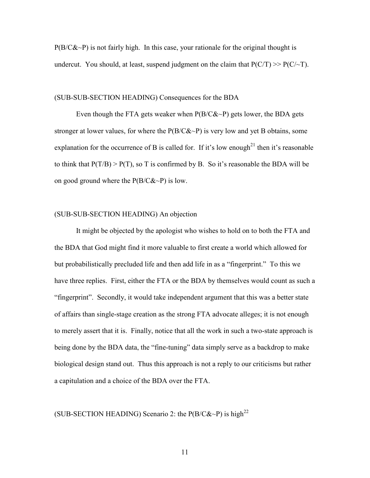$P(B/C&~P)$  is not fairly high. In this case, your rationale for the original thought is undercut. You should, at least, suspend judgment on the claim that  $P(C/T) \gg P(C/\sim T)$ .

## (SUB-SUB-SECTION HEADING) Consequences for the BDA

Even though the FTA gets weaker when  $P(B/C&\sim P)$  gets lower, the BDA gets stronger at lower values, for where the  $P(B/C&{\sim}P)$  is very low and yet B obtains, some explanation for the occurrence of B is called for. If it's low enough<sup>21</sup> then it's reasonable to think that  $P(T/B) > P(T)$ , so T is confirmed by B. So it's reasonable the BDA will be on good ground where the  $P(B/C&~P)$  is low.

# (SUB-SUB-SECTION HEADING) An objection

 It might be objected by the apologist who wishes to hold on to both the FTA and the BDA that God might find it more valuable to first create a world which allowed for but probabilistically precluded life and then add life in as a "fingerprint." To this we have three replies. First, either the FTA or the BDA by themselves would count as such a "fingerprint". Secondly, it would take independent argument that this was a better state of affairs than single-stage creation as the strong FTA advocate alleges; it is not enough to merely assert that it is. Finally, notice that all the work in such a two-state approach is being done by the BDA data, the "fine-tuning" data simply serve as a backdrop to make biological design stand out. Thus this approach is not a reply to our criticisms but rather a capitulation and a choice of the BDA over the FTA.

# (SUB-SECTION HEADING) Scenario 2: the  $P(B/C&~P)$  is high<sup>22</sup>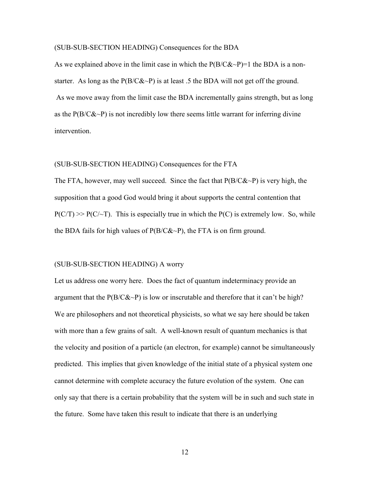#### (SUB-SUB-SECTION HEADING) Consequences for the BDA

As we explained above in the limit case in which the  $P(B/C&~P)=1$  the BDA is a nonstarter. As long as the  $P(B/C&{\sim}P)$  is at least .5 the BDA will not get off the ground. As we move away from the limit case the BDA incrementally gains strength, but as long as the  $P(B/C&P)$  is not incredibly low there seems little warrant for inferring divine intervention.

# (SUB-SUB-SECTION HEADING) Consequences for the FTA

The FTA, however, may well succeed. Since the fact that  $P(B/C&~P)$  is very high, the supposition that a good God would bring it about supports the central contention that  $P(C/T) \gg P(C/\sim T)$ . This is especially true in which the P(C) is extremely low. So, while the BDA fails for high values of  $P(B/C&~P)$ , the FTA is on firm ground.

# (SUB-SUB-SECTION HEADING) A worry

Let us address one worry here. Does the fact of quantum indeterminacy provide an argument that the  $P(B/C&P)$  is low or inscrutable and therefore that it can't be high? We are philosophers and not theoretical physicists, so what we say here should be taken with more than a few grains of salt. A well-known result of quantum mechanics is that the velocity and position of a particle (an electron, for example) cannot be simultaneously predicted. This implies that given knowledge of the initial state of a physical system one cannot determine with complete accuracy the future evolution of the system. One can only say that there is a certain probability that the system will be in such and such state in the future. Some have taken this result to indicate that there is an underlying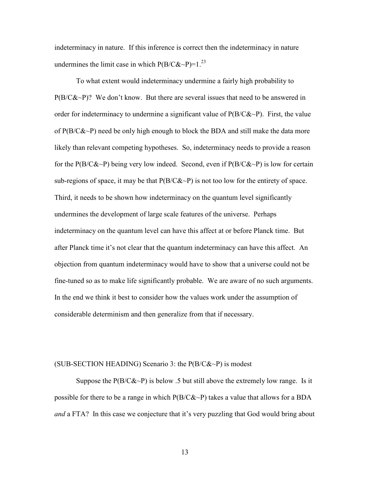indeterminacy in nature. If this inference is correct then the indeterminacy in nature undermines the limit case in which  $P(B/C$ 

 To what extent would indeterminacy undermine a fairly high probability to  $P(B/C&~P)$ ? We don't know. But there are several issues that need to be answered in order for indeterminacy to undermine a significant value of  $P(B/C&\sim P)$ . First, the value of P(B/C&~P) need be only high enough to block the BDA and still make the data more likely than relevant competing hypotheses. So, indeterminacy needs to provide a reason for the P(B/C&~P) being very low indeed. Second, even if  $P(B/C&~P)$  is low for certain sub-regions of space, it may be that  $P(B/C&E_{\rmfty}-P)$  is not too low for the entirety of space. Third, it needs to be shown how indeterminacy on the quantum level significantly undermines the development of large scale features of the universe. Perhaps indeterminacy on the quantum level can have this affect at or before Planck time. But after Planck time it's not clear that the quantum indeterminacy can have this affect. An objection from quantum indeterminacy would have to show that a universe could not be fine-tuned so as to make life significantly probable. We are aware of no such arguments. In the end we think it best to consider how the values work under the assumption of considerable determinism and then generalize from that if necessary.

#### (SUB-SECTION HEADING) Scenario 3: the  $P(B/C&~P)$  is modest

Suppose the  $P(B/C&P)$  is below .5 but still above the extremely low range. Is it possible for there to be a range in which  $P(B/C&N$  takes a value that allows for a BDA and a FTA? In this case we conjecture that it's very puzzling that God would bring about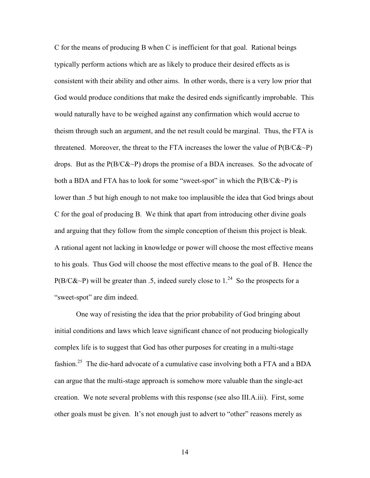C for the means of producing B when C is inefficient for that goal. Rational beings typically perform actions which are as likely to produce their desired effects as is consistent with their ability and other aims. In other words, there is a very low prior that God would produce conditions that make the desired ends significantly improbable. This would naturally have to be weighed against any confirmation which would accrue to theism through such an argument, and the net result could be marginal. Thus, the FTA is threatened. Moreover, the threat to the FTA increases the lower the value of  $P(B/C&~P)$ drops. But as the  $P(B/C&~P)$  drops the promise of a BDA increases. So the advocate of both a BDA and FTA has to look for some "sweet-spot" in which the  $P(B/C&~P)$  is lower than .5 but high enough to not make too implausible the idea that God brings about C for the goal of producing B. We think that apart from introducing other divine goals and arguing that they follow from the simple conception of theism this project is bleak. A rational agent not lacking in knowledge or power will choose the most effective means to his goals. Thus God will choose the most effective means to the goal of B. Hence the  $P(B/C&~P)$  will be greater than .5, indeed surely close to 1.<sup>24</sup> So the prospects for a "sweet-spot" are dim indeed.

 One way of resisting the idea that the prior probability of God bringing about initial conditions and laws which leave significant chance of not producing biologically complex life is to suggest that God has other purposes for creating in a multi-stage fashion.<sup>25</sup> The die-hard advocate of a cumulative case involving both a FTA and a BDA can argue that the multi-stage approach is somehow more valuable than the single-act creation. We note several problems with this response (see also III.A.iii). First, some other goals must be given. It's not enough just to advert to "other" reasons merely as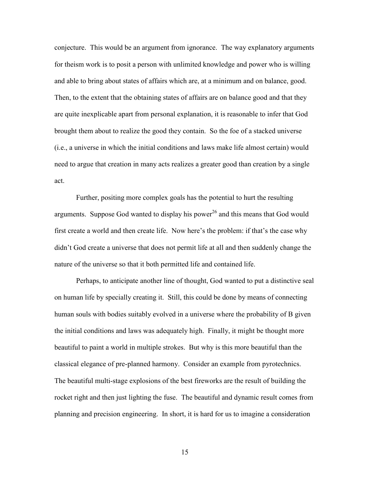conjecture. This would be an argument from ignorance. The way explanatory arguments for theism work is to posit a person with unlimited knowledge and power who is willing and able to bring about states of affairs which are, at a minimum and on balance, good. Then, to the extent that the obtaining states of affairs are on balance good and that they are quite inexplicable apart from personal explanation, it is reasonable to infer that God brought them about to realize the good they contain. So the foe of a stacked universe (i.e., a universe in which the initial conditions and laws make life almost certain) would need to argue that creation in many acts realizes a greater good than creation by a single act.

Further, positing more complex goals has the potential to hurt the resulting arguments. Suppose God wanted to display his power<sup>26</sup> and this means that God would first create a world and then create life. Now here's the problem: if that's the case why didn't God create a universe that does not permit life at all and then suddenly change the nature of the universe so that it both permitted life and contained life.

 Perhaps, to anticipate another line of thought, God wanted to put a distinctive seal on human life by specially creating it. Still, this could be done by means of connecting human souls with bodies suitably evolved in a universe where the probability of B given the initial conditions and laws was adequately high. Finally, it might be thought more beautiful to paint a world in multiple strokes. But why is this more beautiful than the classical elegance of pre-planned harmony. Consider an example from pyrotechnics. The beautiful multi-stage explosions of the best fireworks are the result of building the rocket right and then just lighting the fuse. The beautiful and dynamic result comes from planning and precision engineering. In short, it is hard for us to imagine a consideration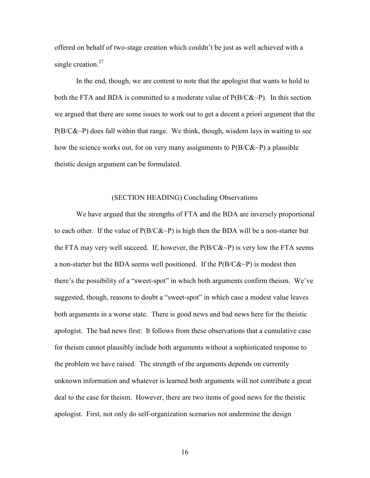offered on behalf of two-stage creation which couldn't be just as well achieved with a single creation.<sup>27</sup>

 In the end, though, we are content to note that the apologist that wants to hold to both the FTA and BDA is committed to a moderate value of  $P(B/C&\sim P)$ . In this section we argued that there are some issues to work out to get a decent a priori argument that the  $P(B/C&~P)$  does fall within that range. We think, though, wisdom lays in waiting to see how the science works out, for on very many assignments to  $P(B/C&~P)$  a plausible theistic design argument can be formulated.

# (SECTION HEADING) Concluding Observations

We have argued that the strengths of FTA and the BDA are inversely proportional to each other. If the value of  $P(B/C&\sim P)$  is high then the BDA will be a non-starter but the FTA may very well succeed. If, however, the  $P(B/C&~P)$  is very low the FTA seems a non-starter but the BDA seems well positioned. If the  $P(B/C&P)$  is modest then there's the possibility of a "sweet-spot" in which both arguments confirm theism. We've suggested, though, reasons to doubt a "sweet-spot" in which case a modest value leaves both arguments in a worse state. There is good news and bad news here for the theistic apologist. The bad news first: It follows from these observations that a cumulative case for theism cannot plausibly include both arguments without a sophisticated response to the problem we have raised. The strength of the arguments depends on currently unknown information and whatever is learned both arguments will not contribute a great deal to the case for theism. However, there are two items of good news for the theistic apologist. First, not only do self-organization scenarios not undermine the design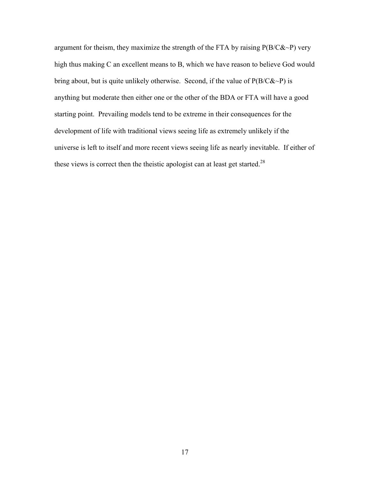argument for theism, they maximize the strength of the FTA by raising  $P(B/C&~P)$  very high thus making C an excellent means to B, which we have reason to believe God would bring about, but is quite unlikely otherwise. Second, if the value of  $P(B/C&N$  is anything but moderate then either one or the other of the BDA or FTA will have a good starting point. Prevailing models tend to be extreme in their consequences for the development of life with traditional views seeing life as extremely unlikely if the universe is left to itself and more recent views seeing life as nearly inevitable. If either of these views is correct then the theistic apologist can at least get started.<sup>28</sup>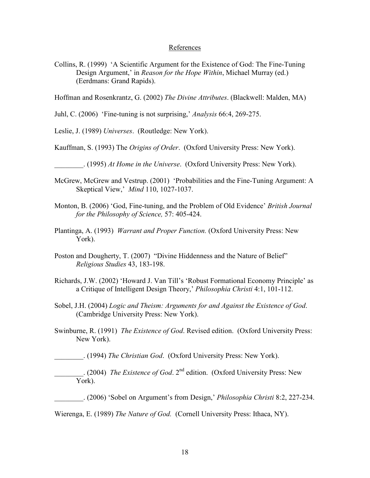#### References

Collins, R. (1999) 'A Scientific Argument for the Existence of God: The Fine-Tuning Design Argument,' in *Reason for the Hope Within*, Michael Murray (ed.) (Eerdmans: Grand Rapids).

Hoffman and Rosenkrantz, G. (2002) The Divine Attributes. (Blackwell: Malden, MA)

Juhl, C. (2006) 'Fine-tuning is not surprising,' Analysis 66:4, 269-275.

Leslie, J. (1989) Universes. (Routledge: New York).

Kauffman, S. (1993) The Origins of Order. (Oxford University Press: New York).

\_\_\_\_\_\_\_\_. (1995) At Home in the Universe. (Oxford University Press: New York).

- McGrew, McGrew and Vestrup. (2001) 'Probabilities and the Fine-Tuning Argument: A Skeptical View,' Mind 110, 1027-1037.
- Monton, B. (2006) 'God, Fine-tuning, and the Problem of Old Evidence' British Journal for the Philosophy of Science, 57: 405-424.
- Plantinga, A. (1993) Warrant and Proper Function. (Oxford University Press: New York).
- Poston and Dougherty, T. (2007) "Divine Hiddenness and the Nature of Belief" Religious Studies 43, 183-198.
- Richards, J.W. (2002) 'Howard J. Van Till's 'Robust Formational Economy Principle' as a Critique of Intelligent Design Theory,' Philosophia Christi 4:1, 101-112.
- Sobel, J.H. (2004) Logic and Theism: Arguments for and Against the Existence of God. (Cambridge University Press: New York).
- Swinburne, R. (1991) *The Existence of God.* Revised edition. (Oxford University Press: New York).

\_\_\_\_\_\_\_\_. (1994) The Christian God. (Oxford University Press: New York).

 $\frac{1}{2}$  (2004) The Existence of God. 2<sup>nd</sup> edition. (Oxford University Press: New York).

\_\_\_\_\_\_\_\_. (2006) 'Sobel on Argument's from Design,' Philosophia Christi 8:2, 227-234.

Wierenga, E. (1989) The Nature of God. (Cornell University Press: Ithaca, NY).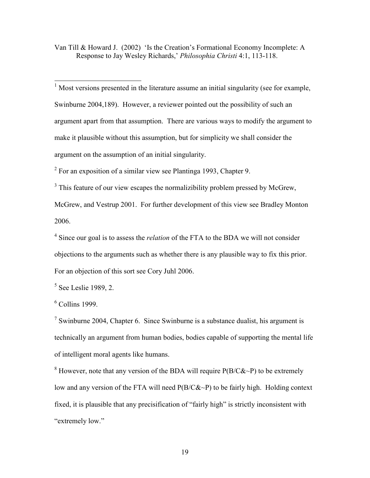Van Till & Howard J. (2002) 'Is the Creation's Formational Economy Incomplete: A Response to Jay Wesley Richards,' Philosophia Christi 4:1, 113-118.

<sup>1</sup> Most versions presented in the literature assume an initial singularity (see for example, Swinburne 2004,189). However, a reviewer pointed out the possibility of such an argument apart from that assumption. There are various ways to modify the argument to make it plausible without this assumption, but for simplicity we shall consider the argument on the assumption of an initial singularity.

 $2^2$  For an exposition of a similar view see Plantinga 1993, Chapter 9.

 $3$  This feature of our view escapes the normalizibility problem pressed by McGrew, McGrew, and Vestrup 2001. For further development of this view see Bradley Monton 2006.

 $4$  Since our goal is to assess the *relation* of the FTA to the BDA we will not consider objections to the arguments such as whether there is any plausible way to fix this prior. For an objection of this sort see Cory Juhl 2006.

<sup>5</sup> See Leslie 1989, 2.

6 Collins 1999.

<sup>7</sup> Swinburne 2004, Chapter 6. Since Swinburne is a substance dualist, his argument is technically an argument from human bodies, bodies capable of supporting the mental life of intelligent moral agents like humans.

<sup>8</sup> However, note that any version of the BDA will require  $P(B/C&{\sim}P)$  to be extremely low and any version of the FTA will need P(B/C&~P) to be fairly high. Holding context fixed, it is plausible that any precisification of "fairly high" is strictly inconsistent with "extremely low."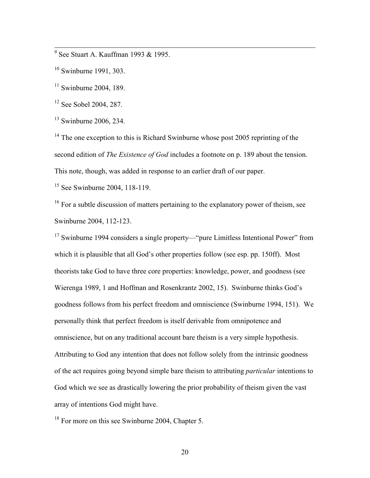<sup>9</sup> See Stuart A. Kauffman 1993 & 1995.

 $10$  Swinburne 1991, 303.

 $11$  Swinburne 2004, 189.

<sup>12</sup> See Sobel 2004, 287.

 $13$  Swinburne 2006, 234.

 $14$  The one exception to this is Richard Swinburne whose post 2005 reprinting of the second edition of *The Existence of God* includes a footnote on p. 189 about the tension. This note, though, was added in response to an earlier draft of our paper.

<sup>15</sup> See Swinburne 2004, 118-119.

 $16$  For a subtle discussion of matters pertaining to the explanatory power of theism, see Swinburne 2004, 112-123.

<sup>17</sup> Swinburne 1994 considers a single property—"pure Limitless Intentional Power" from which it is plausible that all God's other properties follow (see esp. pp. 150ff). Most theorists take God to have three core properties: knowledge, power, and goodness (see Wierenga 1989, 1 and Hoffman and Rosenkrantz 2002, 15). Swinburne thinks God's goodness follows from his perfect freedom and omniscience (Swinburne 1994, 151). We personally think that perfect freedom is itself derivable from omnipotence and omniscience, but on any traditional account bare theism is a very simple hypothesis. Attributing to God any intention that does not follow solely from the intrinsic goodness of the act requires going beyond simple bare theism to attributing *particular* intentions to God which we see as drastically lowering the prior probability of theism given the vast array of intentions God might have.

<sup>18</sup> For more on this see Swinburne 2004, Chapter 5.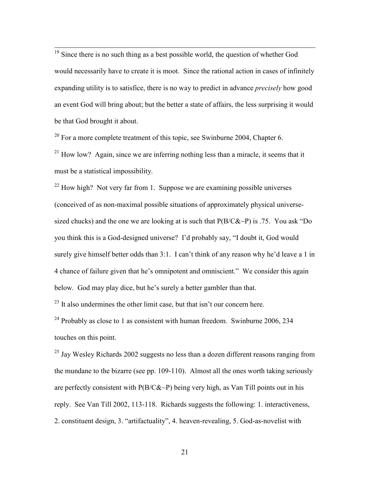<sup>19</sup> Since there is no such thing as a best possible world, the question of whether God would necessarily have to create it is moot. Since the rational action in cases of infinitely expanding utility is to satisfice, there is no way to predict in advance *precisely* how good an event God will bring about; but the better a state of affairs, the less surprising it would be that God brought it about.

 $20$  For a more complete treatment of this topic, see Swinburne 2004, Chapter 6.

 $\overline{a}$ 

 $21$  How low? Again, since we are inferring nothing less than a miracle, it seems that it must be a statistical impossibility.

 $22$  How high? Not very far from 1. Suppose we are examining possible universes (conceived of as non-maximal possible situations of approximately physical universesized chucks) and the one we are looking at is such that  $P(B/C&[S-2]$  is .75. You ask "Do" you think this is a God-designed universe? I'd probably say, "I doubt it, God would surely give himself better odds than 3:1. I can't think of any reason why he'd leave a 1 in 4 chance of failure given that he's omnipotent and omniscient." We consider this again below. God may play dice, but he's surely a better gambler than that.

 $^{23}$  It also undermines the other limit case, but that isn't our concern here.

<sup>24</sup> Probably as close to 1 as consistent with human freedom. Swinburne 2006, 234 touches on this point.

 $^{25}$  Jay Wesley Richards 2002 suggests no less than a dozen different reasons ranging from the mundane to the bizarre (see pp. 109-110). Almost all the ones worth taking seriously are perfectly consistent with  $P(B/C&~P)$  being very high, as Van Till points out in his reply. See Van Till 2002, 113-118. Richards suggests the following: 1. interactiveness, 2. constituent design, 3. "artifactuality", 4. heaven-revealing, 5. God-as-novelist with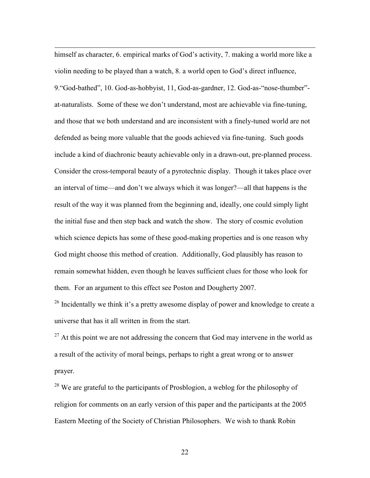himself as character, 6. empirical marks of God's activity, 7. making a world more like a violin needing to be played than a watch, 8. a world open to God's direct influence, 9."God-bathed", 10. God-as-hobbyist, 11, God-as-gardner, 12. God-as-"nose-thumber" at-naturalists. Some of these we don't understand, most are achievable via fine-tuning, and those that we both understand and are inconsistent with a finely-tuned world are not defended as being more valuable that the goods achieved via fine-tuning. Such goods include a kind of diachronic beauty achievable only in a drawn-out, pre-planned process. Consider the cross-temporal beauty of a pyrotechnic display. Though it takes place over an interval of time—and don't we always which it was longer?—all that happens is the result of the way it was planned from the beginning and, ideally, one could simply light the initial fuse and then step back and watch the show. The story of cosmic evolution which science depicts has some of these good-making properties and is one reason why God might choose this method of creation. Additionally, God plausibly has reason to remain somewhat hidden, even though he leaves sufficient clues for those who look for them. For an argument to this effect see Poston and Dougherty 2007.

 $\overline{a}$ 

<sup>26</sup> Incidentally we think it's a pretty awesome display of power and knowledge to create a universe that has it all written in from the start.

 $27$  At this point we are not addressing the concern that God may intervene in the world as a result of the activity of moral beings, perhaps to right a great wrong or to answer prayer.

<sup>28</sup> We are grateful to the participants of Prosblogion, a weblog for the philosophy of religion for comments on an early version of this paper and the participants at the 2005 Eastern Meeting of the Society of Christian Philosophers. We wish to thank Robin